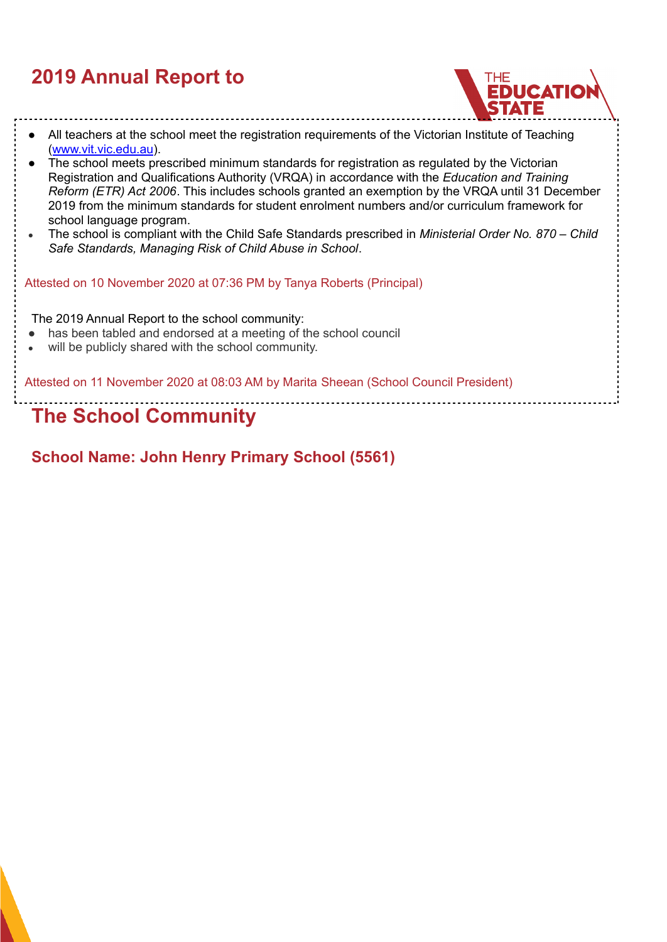# **2019 Annual Report to**



- All teachers at the school meet the registration requirements of the Victorian Institute of Teaching ([www.vit.vic.edu.au](https://www.vit.vic.edu.au/)).
- The school meets prescribed minimum standards for registration as regulated by the Victorian Registration and Qualifications Authority (VRQA) in accordance with the *Education and Training Reform (ETR) Act 2006*. This includes schools granted an exemption by the VRQA until 31 December 2019 from the minimum standards for student enrolment numbers and/or curriculum framework for school language program.
- The school is compliant with the Child Safe Standards prescribed in *Ministerial Order No. 870 – Child Safe Standards, Managing Risk of Child Abuse in School*.

Attested on 10 November 2020 at 07:36 PM by Tanya Roberts (Principal)

The 2019 Annual Report to the school community:

- has been tabled and endorsed at a meeting of the school council
- will be publicly shared with the school community.

Attested on 11 November 2020 at 08:03 AM by Marita Sheean (School Council President)

# **The School Community**

**School Name: John Henry Primary School (5561)**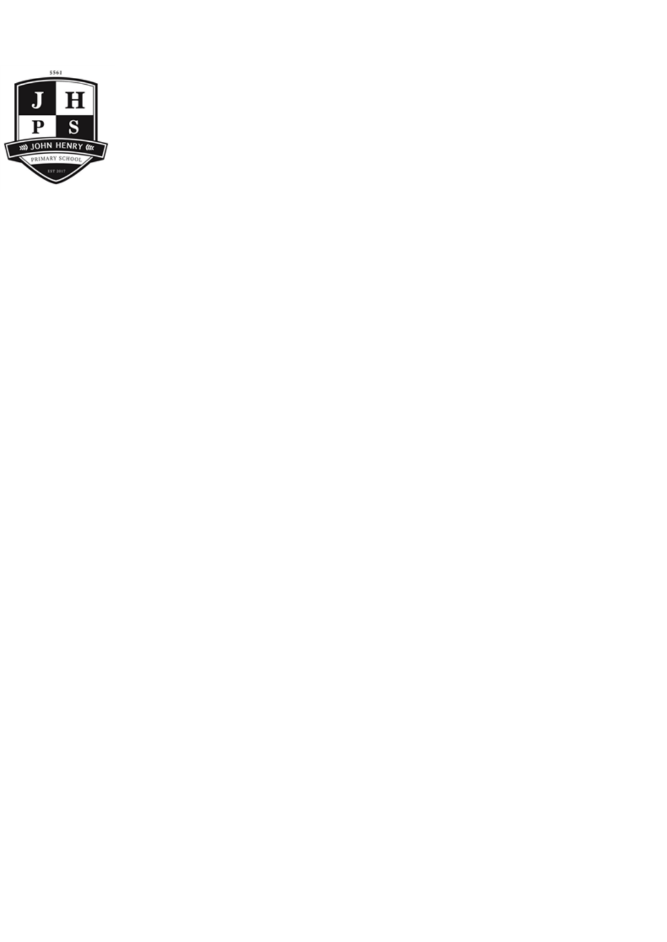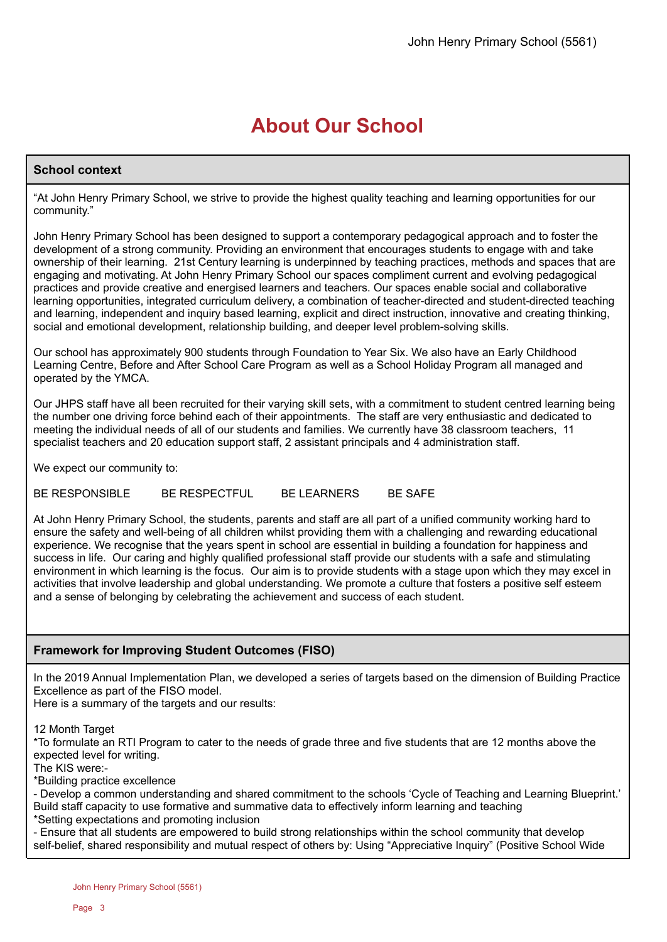# **About Our School**

## **School context**

"At John Henry Primary School, we strive to provide the highest quality teaching and learning opportunities for our community."

John Henry Primary School has been designed to support a contemporary pedagogical approach and to foster the development of a strong community. Providing an environment that encourages students to engage with and take ownership of their learning. 21st Century learning is underpinned by teaching practices, methods and spaces that are engaging and motivating. At John Henry Primary School our spaces compliment current and evolving pedagogical practices and provide creative and energised learners and teachers. Our spaces enable social and collaborative learning opportunities, integrated curriculum delivery, a combination of teacher-directed and student-directed teaching and learning, independent and inquiry based learning, explicit and direct instruction, innovative and creating thinking, social and emotional development, relationship building, and deeper level problem-solving skills.

Our school has approximately 900 students through Foundation to Year Six. We also have an Early Childhood Learning Centre, Before and After School Care Program as well as a School Holiday Program all managed and operated by the YMCA.

Our JHPS staff have all been recruited for their varying skill sets, with a commitment to student centred learning being the number one driving force behind each of their appointments. The staff are very enthusiastic and dedicated to meeting the individual needs of all of our students and families. We currently have 38 classroom teachers, 11 specialist teachers and 20 education support staff, 2 assistant principals and 4 administration staff.

We expect our community to:

BE RESPONSIBLE BE RESPECTFUL BE LEARNERS BE SAFE

At John Henry Primary School, the students, parents and staff are all part of a unified community working hard to ensure the safety and well-being of all children whilst providing them with a challenging and rewarding educational experience. We recognise that the years spent in school are essential in building a foundation for happiness and success in life. Our caring and highly qualified professional staff provide our students with a safe and stimulating environment in which learning is the focus. Our aim is to provide students with a stage upon which they may excel in activities that involve leadership and global understanding. We promote a culture that fosters a positive self esteem and a sense of belonging by celebrating the achievement and success of each student.

## **Framework for Improving Student Outcomes (FISO)**

In the 2019 Annual Implementation Plan, we developed a series of targets based on the dimension of Building Practice Excellence as part of the FISO model.

Here is a summary of the targets and our results:

12 Month Target

\*To formulate an RTI Program to cater to the needs of grade three and five students that are 12 months above the expected level for writing.

The KIS were:-

\*Building practice excellence

- Develop a common understanding and shared commitment to the schools 'Cycle of Teaching and Learning Blueprint.' Build staff capacity to use formative and summative data to effectively inform learning and teaching \*Setting expectations and promoting inclusion

- Ensure that all students are empowered to build strong relationships within the school community that develop self-belief, shared responsibility and mutual respect of others by: Using "Appreciative Inquiry" (Positive School Wide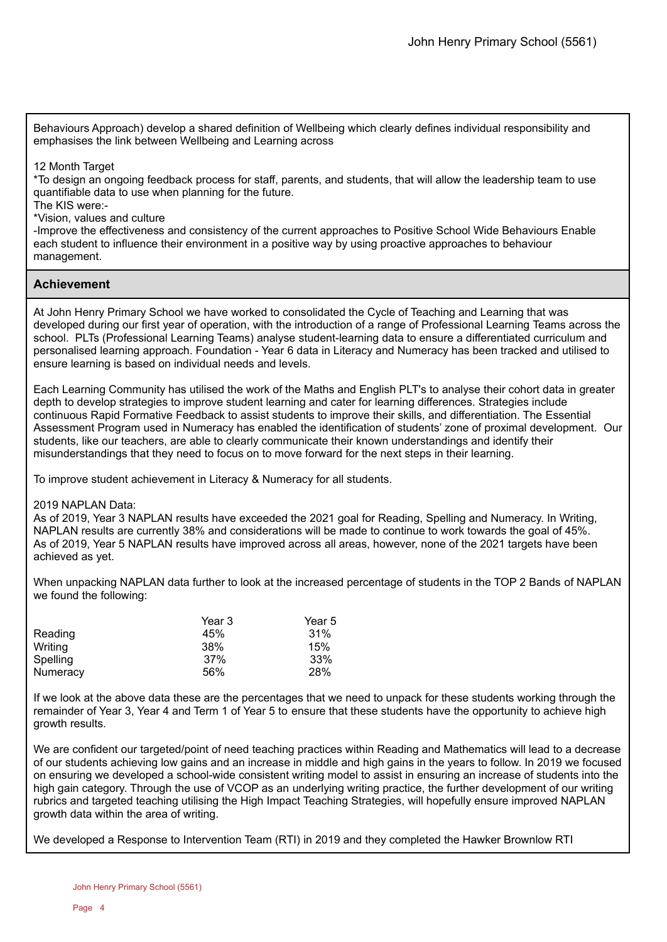Behaviours Approach) develop a shared definition of Wellbeing which clearly defines individual responsibility and emphasises the link between Wellbeing and Learning across

12 Month Target

\*To design an ongoing feedback process for staff, parents, and students, that will allow the leadership team to use quantifiable data to use when planning for the future.

The KIS were:-

\*Vision, values and culture

-Improve the effectiveness and consistency of the current approaches to Positive School Wide Behaviours Enable each student to influence their environment in a positive way by using proactive approaches to behaviour management.

## **Achievement**

At John Henry Primary School we have worked to consolidated the Cycle of Teaching and Learning that was developed during our first year of operation, with the introduction of a range of Professional Learning Teams across the school. PLTs (Professional Learning Teams) analyse student-learning data to ensure a differentiated curriculum and personalised learning approach. Foundation - Year 6 data in Literacy and Numeracy has been tracked and utilised to ensure learning is based on individual needs and levels.

Each Learning Community has utilised the work of the Maths and English PLT's to analyse their cohort data in greater depth to develop strategies to improve student learning and cater for learning differences. Strategies include continuous Rapid Formative Feedback to assist students to improve their skills, and differentiation. The Essential Assessment Program used in Numeracy has enabled the identification of students' zone of proximal development. Our students, like our teachers, are able to clearly communicate their known understandings and identify their misunderstandings that they need to focus on to move forward for the next steps in their learning.

To improve student achievement in Literacy & Numeracy for all students.

## 2019 NAPLAN Data:

As of 2019, Year 3 NAPLAN results have exceeded the 2021 goal for Reading, Spelling and Numeracy. In Writing, NAPLAN results are currently 38% and considerations will be made to continue to work towards the goal of 45%. As of 2019, Year 5 NAPLAN results have improved across all areas, however, none of the 2021 targets have been achieved as yet.

When unpacking NAPLAN data further to look at the increased percentage of students in the TOP 2 Bands of NAPLAN we found the following:

|          | Year 3 | Year 5 |
|----------|--------|--------|
| Reading  | 45%    | 31%    |
| Writing  | 38%    | 15%    |
| Spelling | 37%    | 33%    |
| Numeracy | 56%    | 28%    |

If we look at the above data these are the percentages that we need to unpack for these students working through the remainder of Year 3, Year 4 and Term 1 of Year 5 to ensure that these students have the opportunity to achieve high growth results.

We are confident our targeted/point of need teaching practices within Reading and Mathematics will lead to a decrease of our students achieving low gains and an increase in middle and high gains in the years to follow. In 2019 we focused on ensuring we developed a school-wide consistent writing model to assist in ensuring an increase of students into the high gain category. Through the use of VCOP as an underlying writing practice, the further development of our writing rubrics and targeted teaching utilising the High Impact Teaching Strategies, will hopefully ensure improved NAPLAN growth data within the area of writing.

We developed a Response to Intervention Team (RTI) in 2019 and they completed the Hawker Brownlow RTI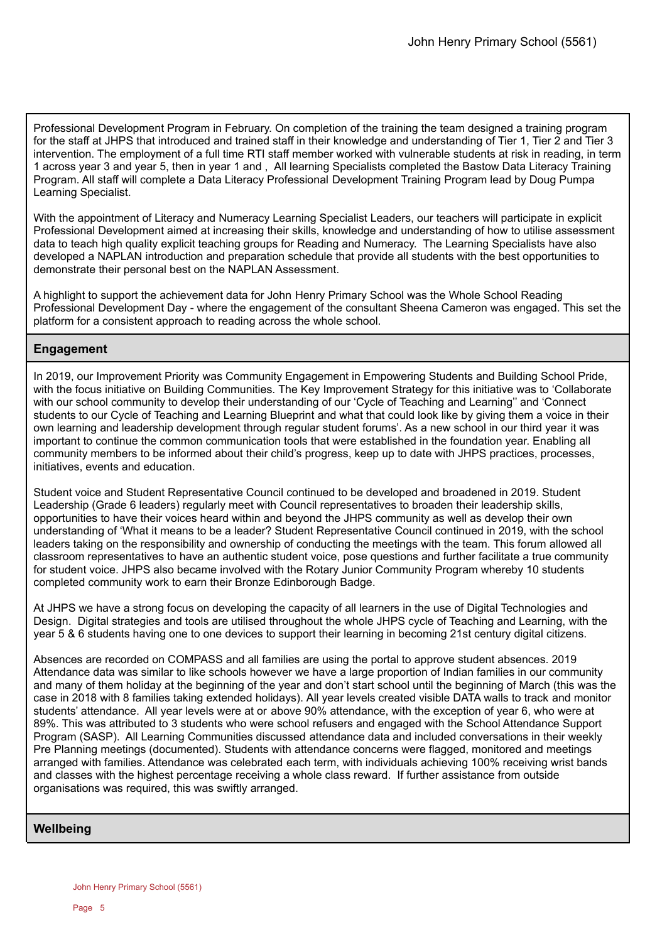Professional Development Program in February. On completion of the training the team designed a training program for the staff at JHPS that introduced and trained staff in their knowledge and understanding of Tier 1, Tier 2 and Tier 3 intervention. The employment of a full time RTI staff member worked with vulnerable students at risk in reading, in term 1 across year 3 and year 5, then in year 1 and , All learning Specialists completed the Bastow Data Literacy Training Program. All staff will complete a Data Literacy Professional Development Training Program lead by Doug Pumpa Learning Specialist.

With the appointment of Literacy and Numeracy Learning Specialist Leaders, our teachers will participate in explicit Professional Development aimed at increasing their skills, knowledge and understanding of how to utilise assessment data to teach high quality explicit teaching groups for Reading and Numeracy. The Learning Specialists have also developed a NAPLAN introduction and preparation schedule that provide all students with the best opportunities to demonstrate their personal best on the NAPLAN Assessment.

A highlight to support the achievement data for John Henry Primary School was the Whole School Reading Professional Development Day - where the engagement of the consultant Sheena Cameron was engaged. This set the platform for a consistent approach to reading across the whole school.

## **Engagement**

In 2019, our Improvement Priority was Community Engagement in Empowering Students and Building School Pride, with the focus initiative on Building Communities. The Key Improvement Strategy for this initiative was to 'Collaborate with our school community to develop their understanding of our 'Cycle of Teaching and Learning'' and 'Connect students to our Cycle of Teaching and Learning Blueprint and what that could look like by giving them a voice in their own learning and leadership development through regular student forums'. As a new school in our third year it was important to continue the common communication tools that were established in the foundation year. Enabling all community members to be informed about their child's progress, keep up to date with JHPS practices, processes, initiatives, events and education.

Student voice and Student Representative Council continued to be developed and broadened in 2019. Student Leadership (Grade 6 leaders) regularly meet with Council representatives to broaden their leadership skills, opportunities to have their voices heard within and beyond the JHPS community as well as develop their own understanding of 'What it means to be a leader? Student Representative Council continued in 2019, with the school leaders taking on the responsibility and ownership of conducting the meetings with the team. This forum allowed all classroom representatives to have an authentic student voice, pose questions and further facilitate a true community for student voice. JHPS also became involved with the Rotary Junior Community Program whereby 10 students completed community work to earn their Bronze Edinborough Badge.

At JHPS we have a strong focus on developing the capacity of all learners in the use of Digital Technologies and Design. Digital strategies and tools are utilised throughout the whole JHPS cycle of Teaching and Learning, with the year 5 & 6 students having one to one devices to support their learning in becoming 21st century digital citizens.

Absences are recorded on COMPASS and all families are using the portal to approve student absences. 2019 Attendance data was similar to like schools however we have a large proportion of Indian families in our community and many of them holiday at the beginning of the year and don't start school until the beginning of March (this was the case in 2018 with 8 families taking extended holidays). All year levels created visible DATA walls to track and monitor students' attendance. All year levels were at or above 90% attendance, with the exception of year 6, who were at 89%. This was attributed to 3 students who were school refusers and engaged with the School Attendance Support Program (SASP). All Learning Communities discussed attendance data and included conversations in their weekly Pre Planning meetings (documented). Students with attendance concerns were flagged, monitored and meetings arranged with families. Attendance was celebrated each term, with individuals achieving 100% receiving wrist bands and classes with the highest percentage receiving a whole class reward. If further assistance from outside organisations was required, this was swiftly arranged.

## **Wellbeing**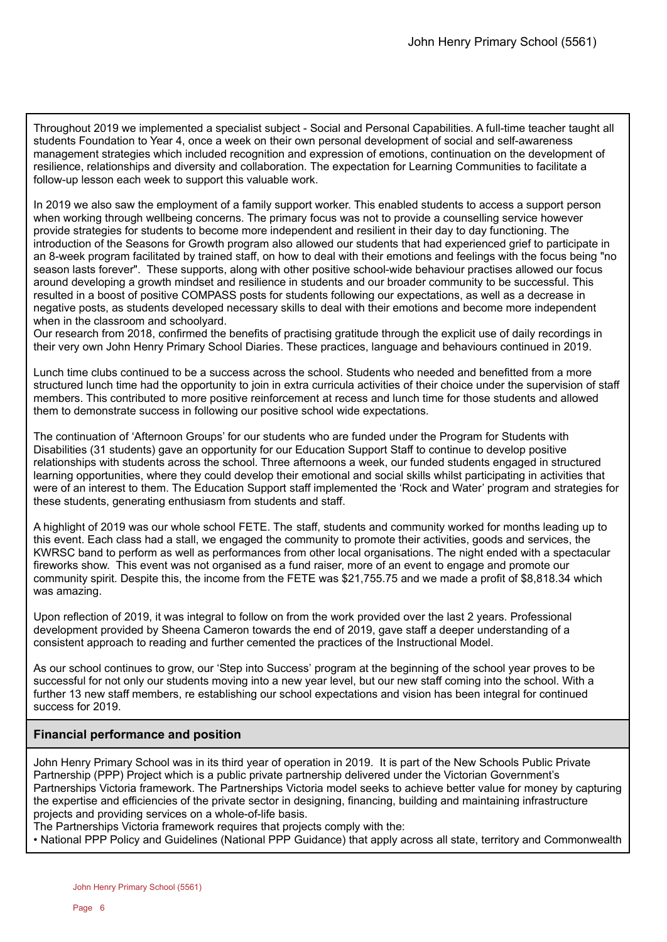Throughout 2019 we implemented a specialist subject - Social and Personal Capabilities. A full-time teacher taught all students Foundation to Year 4, once a week on their own personal development of social and self-awareness management strategies which included recognition and expression of emotions, continuation on the development of resilience, relationships and diversity and collaboration. The expectation for Learning Communities to facilitate a follow-up lesson each week to support this valuable work.

In 2019 we also saw the employment of a family support worker. This enabled students to access a support person when working through wellbeing concerns. The primary focus was not to provide a counselling service however provide strategies for students to become more independent and resilient in their day to day functioning. The introduction of the Seasons for Growth program also allowed our students that had experienced grief to participate in an 8-week program facilitated by trained staff, on how to deal with their emotions and feelings with the focus being "no season lasts forever". These supports, along with other positive school-wide behaviour practises allowed our focus around developing a growth mindset and resilience in students and our broader community to be successful. This resulted in a boost of positive COMPASS posts for students following our expectations, as well as a decrease in negative posts, as students developed necessary skills to deal with their emotions and become more independent when in the classroom and schoolyard.

Our research from 2018, confirmed the benefits of practising gratitude through the explicit use of daily recordings in their very own John Henry Primary School Diaries. These practices, language and behaviours continued in 2019.

Lunch time clubs continued to be a success across the school. Students who needed and benefitted from a more structured lunch time had the opportunity to join in extra curricula activities of their choice under the supervision of staff members. This contributed to more positive reinforcement at recess and lunch time for those students and allowed them to demonstrate success in following our positive school wide expectations.

The continuation of 'Afternoon Groups' for our students who are funded under the Program for Students with Disabilities (31 students) gave an opportunity for our Education Support Staff to continue to develop positive relationships with students across the school. Three afternoons a week, our funded students engaged in structured learning opportunities, where they could develop their emotional and social skills whilst participating in activities that were of an interest to them. The Education Support staff implemented the 'Rock and Water' program and strategies for these students, generating enthusiasm from students and staff.

A highlight of 2019 was our whole school FETE. The staff, students and community worked for months leading up to this event. Each class had a stall, we engaged the community to promote their activities, goods and services, the KWRSC band to perform as well as performances from other local organisations. The night ended with a spectacular fireworks show. This event was not organised as a fund raiser, more of an event to engage and promote our community spirit. Despite this, the income from the FETE was \$21,755.75 and we made a profit of \$8,818.34 which was amazing.

Upon reflection of 2019, it was integral to follow on from the work provided over the last 2 years. Professional development provided by Sheena Cameron towards the end of 2019, gave staff a deeper understanding of a consistent approach to reading and further cemented the practices of the Instructional Model.

As our school continues to grow, our 'Step into Success' program at the beginning of the school year proves to be successful for not only our students moving into a new year level, but our new staff coming into the school. With a further 13 new staff members, re establishing our school expectations and vision has been integral for continued success for 2019.

## **Financial performance and position**

John Henry Primary School was in its third year of operation in 2019. It is part of the New Schools Public Private Partnership (PPP) Project which is a public private partnership delivered under the Victorian Government's Partnerships Victoria framework. The Partnerships Victoria model seeks to achieve better value for money by capturing the expertise and efficiencies of the private sector in designing, financing, building and maintaining infrastructure projects and providing services on a whole-of-life basis.

The Partnerships Victoria framework requires that projects comply with the:

• National PPP Policy and Guidelines (National PPP Guidance) that apply across all state, territory and Commonwealth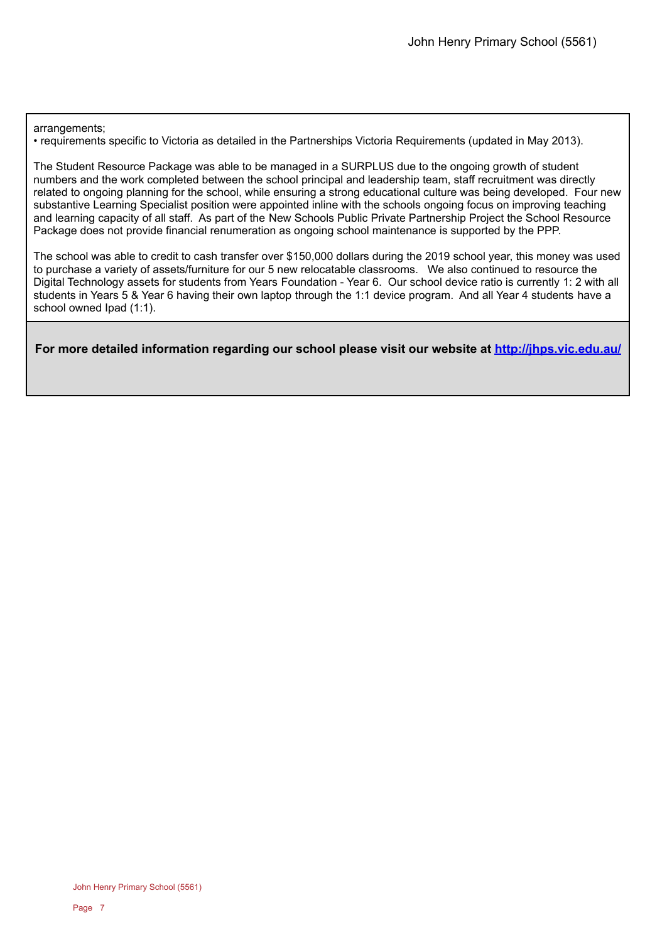arrangements;

• requirements specific to Victoria as detailed in the Partnerships Victoria Requirements (updated in May 2013).

The Student Resource Package was able to be managed in a SURPLUS due to the ongoing growth of student numbers and the work completed between the school principal and leadership team, staff recruitment was directly related to ongoing planning for the school, while ensuring a strong educational culture was being developed. Four new substantive Learning Specialist position were appointed inline with the schools ongoing focus on improving teaching and learning capacity of all staff. As part of the New Schools Public Private Partnership Project the School Resource Package does not provide financial renumeration as ongoing school maintenance is supported by the PPP.

The school was able to credit to cash transfer over \$150,000 dollars during the 2019 school year, this money was used to purchase a variety of assets/furniture for our 5 new relocatable classrooms. We also continued to resource the Digital Technology assets for students from Years Foundation - Year 6. Our school device ratio is currently 1: 2 with all students in Years 5 & Year 6 having their own laptop through the 1:1 device program. And all Year 4 students have a school owned Ipad (1:1).

**For more detailed information regarding our school please visit our website at <http://jhps.vic.edu.au/>**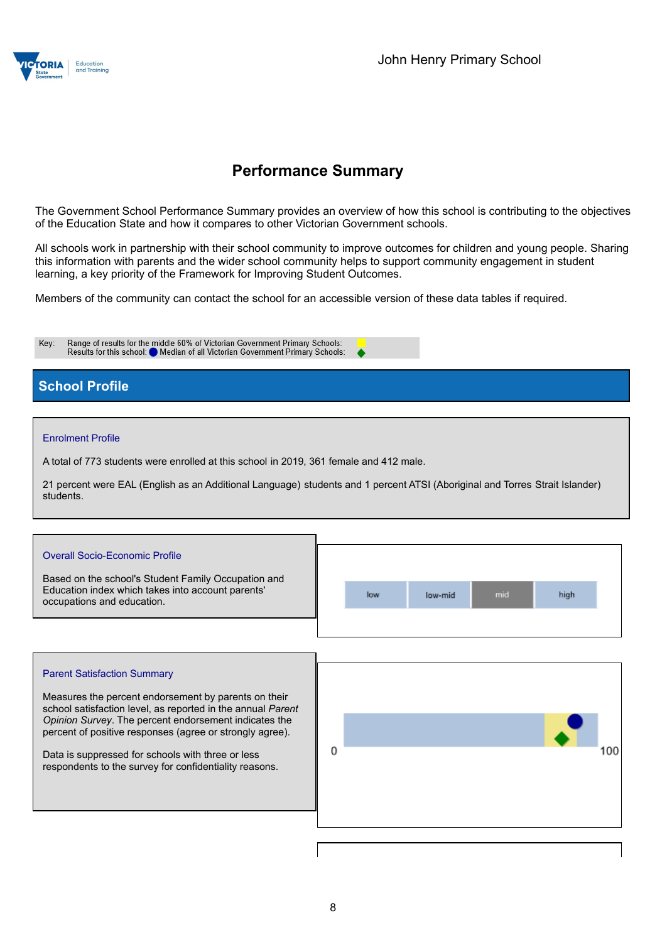

The Government School Performance Summary provides an overview of how this school is contributing to the objectives of the Education State and how it compares to other Victorian Government schools.

All schools work in partnership with their school community to improve outcomes for children and young people. Sharing this information with parents and the wider school community helps to support community engagement in student learning, a key priority of the Framework for Improving Student Outcomes.

Members of the community can contact the school for an accessible version of these data tables if required.

Range of results for the middle 60% of Victorian Government Primary Schools: Key: Results for this school: Median of all Victorian Government Primary Schools:

## **School Profile**

### Enrolment Profile

A total of 773 students were enrolled at this school in 2019, 361 female and 412 male.

21 percent were EAL (English as an Additional Language) students and 1 percent ATSI (Aboriginal and Torres Strait Islander) students.



### Parent Satisfaction Summary

Measures the percent endorsement by parents on their school satisfaction level, as reported in the annual *Parent Opinion Survey*. The percent endorsement indicates the percent of positive responses (agree or strongly agree).

Data is suppressed for schools with three or less respondents to the survey for confidentiality reasons.

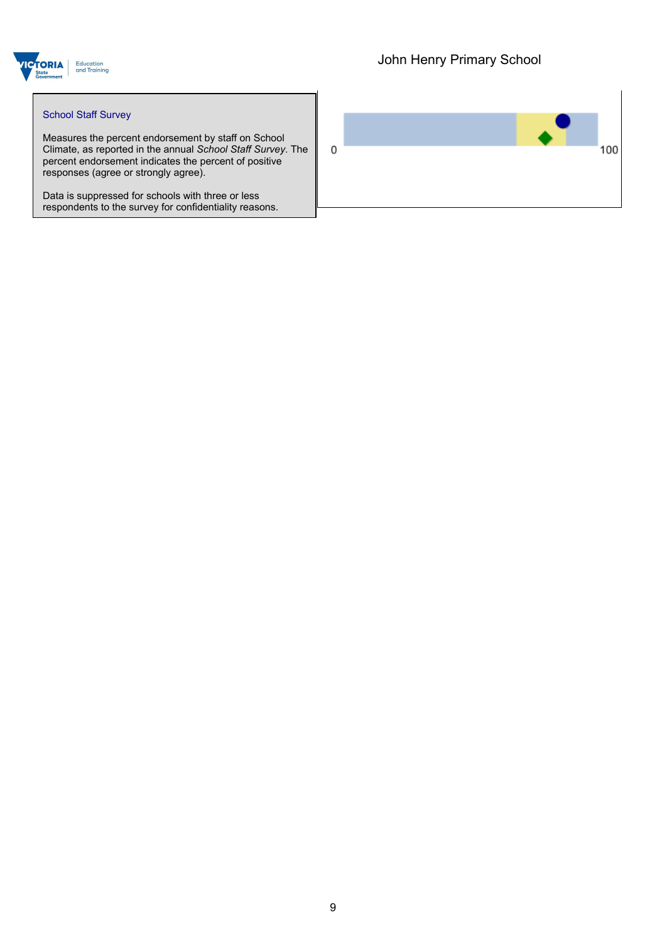

## John Henry Primary School

## School Staff Survey

Measures the percent endorsement by staff on School Climate, as reported in the annual *School Staff Survey*. The percent endorsement indicates the percent of positive responses (agree or strongly agree).

Data is suppressed for schools with three or less respondents to the survey for confidentiality reasons.

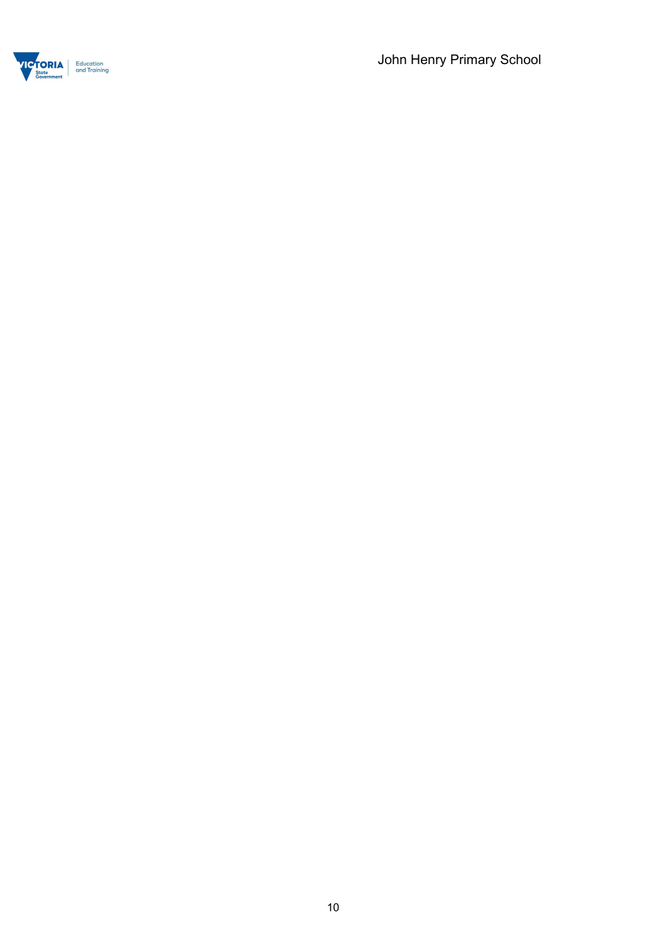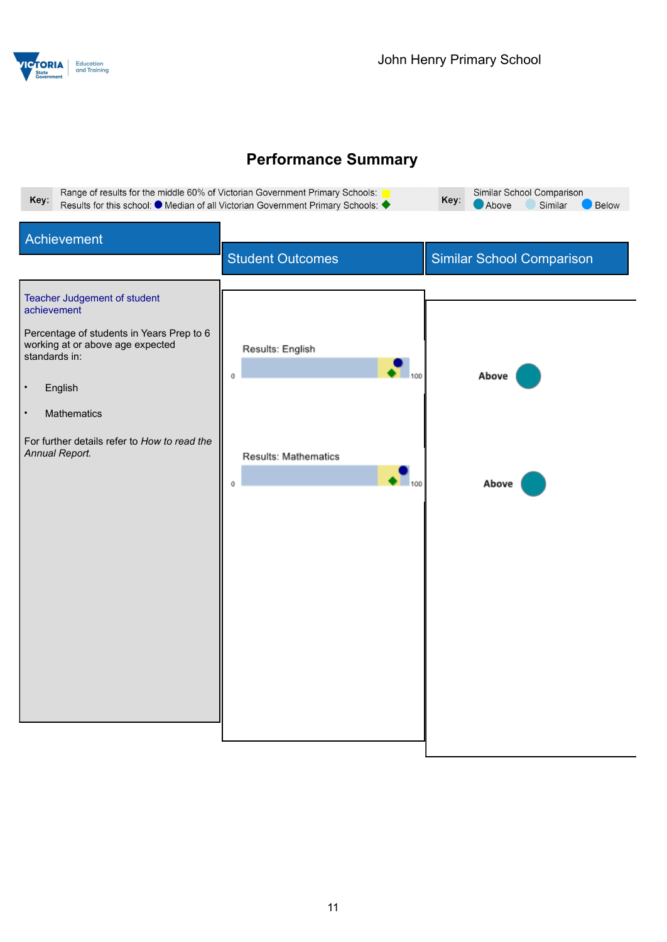



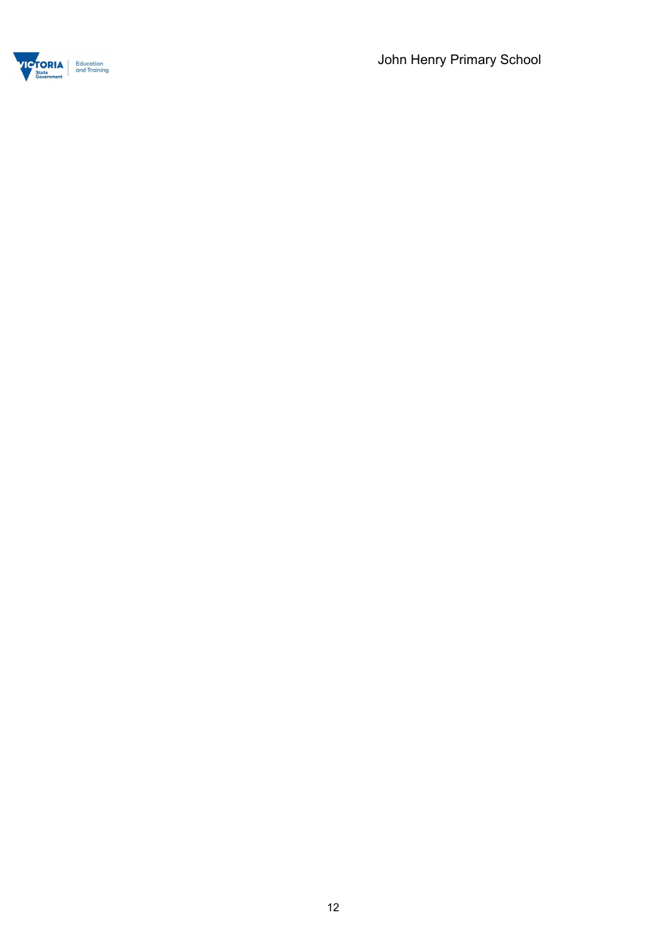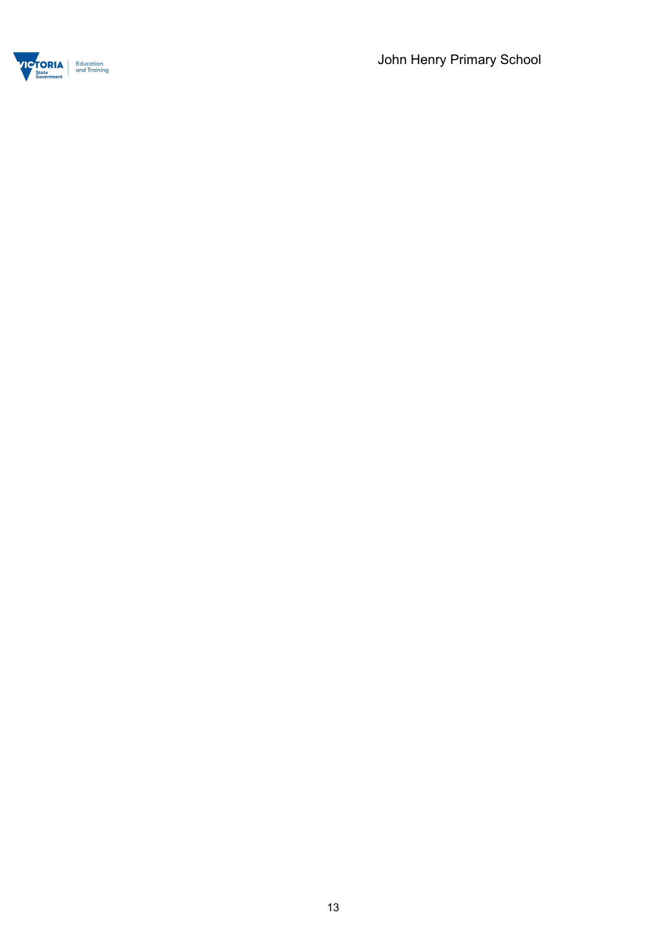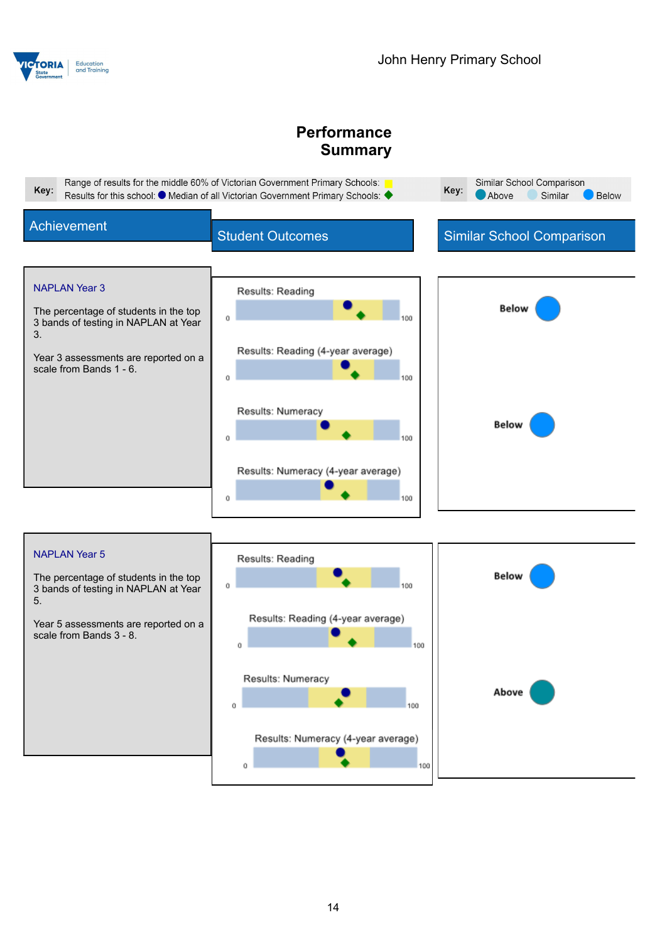

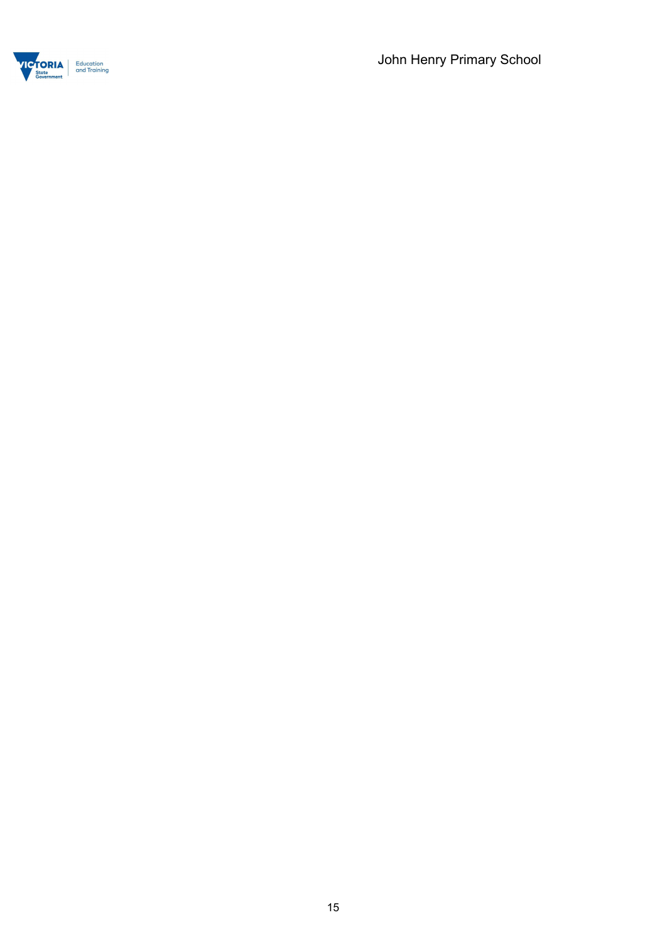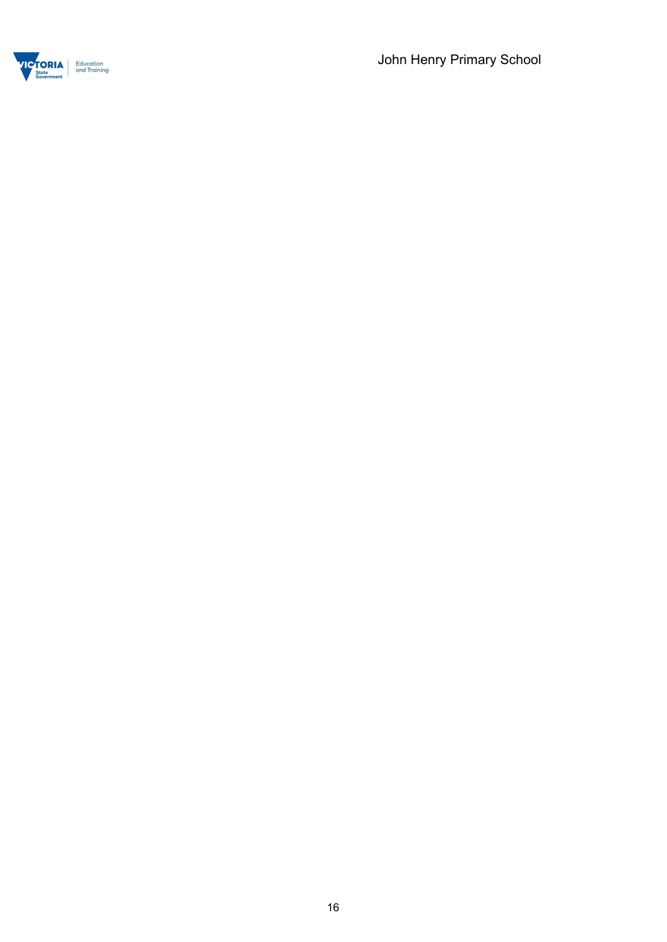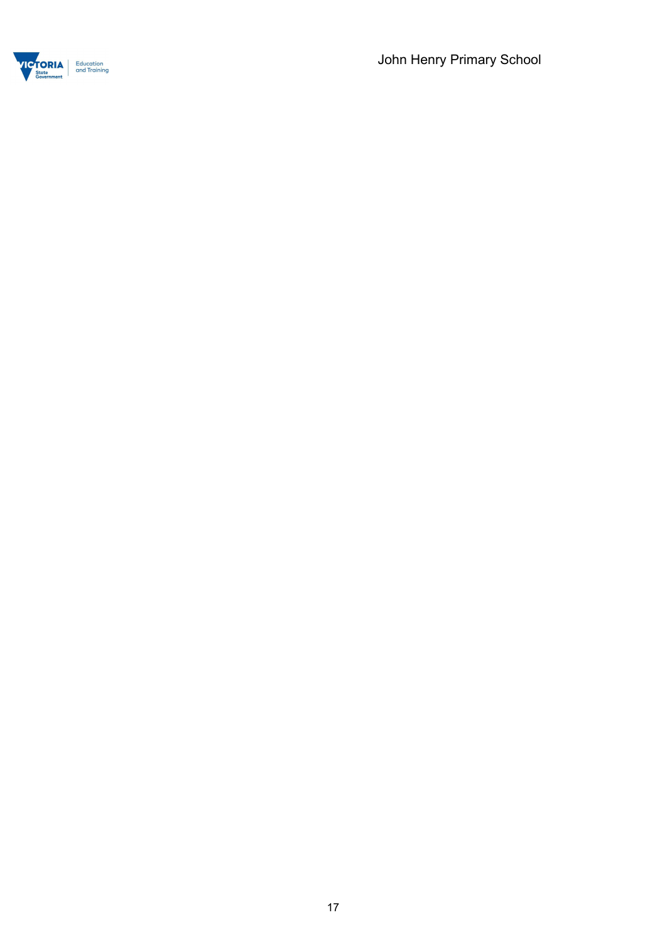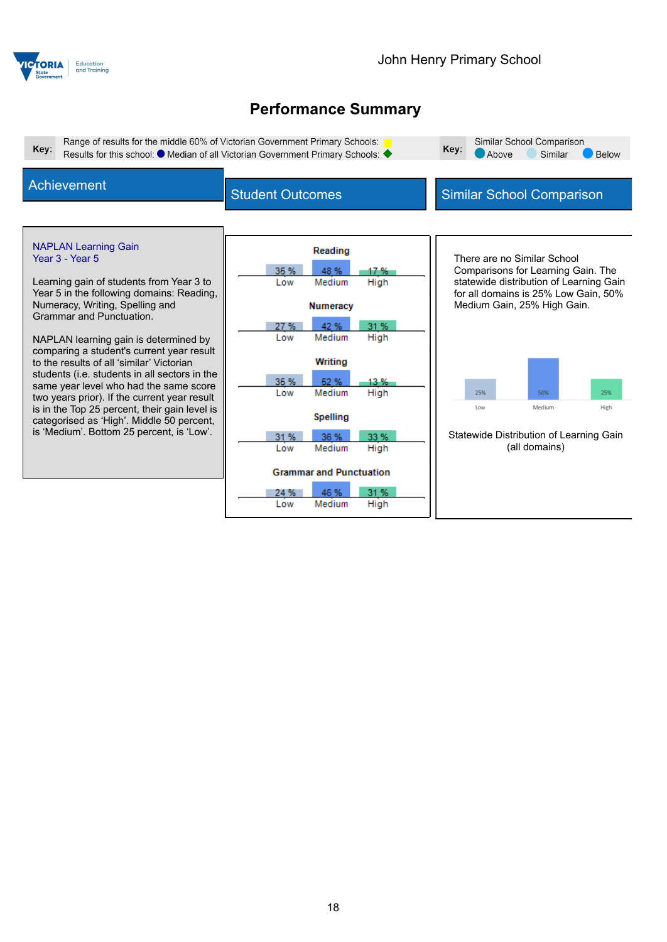

Range of results for the middle 60% of Victorian Government Primary Schools: Key: Results for this school: ● Median of all Victorian Government Primary Schools: ◆

Similar School Comparison Key: Above Similar Below

Achievement Student Outcomes Similar School Comparison

| <b>NAPLAN Learning Gain</b><br>Year 3 - Year 5                                                                                                                                           |  |
|------------------------------------------------------------------------------------------------------------------------------------------------------------------------------------------|--|
| Learning gain of students from Year 3 to<br>Year 5 in the following domains: Reading,<br>Numeracy, Writing, Spelling and<br>Grammar and Punctuation.                                     |  |
| NAPLAN learning gain is determined by<br>comparing a student's current year result<br>to the results of all 'similar' Victorian                                                          |  |
| students (i.e. students in all sectors in the<br>same year level who had the same score<br>two years prior). If the current year result<br>is in the Top 25 percent, their gain level is |  |

categorised as 'High'. Middle 50 percent, is 'Medium'. Bottom 25 percent, is 'Low'.



There are no Similar School Comparisons for Learning Gain. The statewide distribution of Learning Gain for all domains is 25% Low Gain, 50% Medium Gain, 25% High Gain.



Statewide Distribution of Learning Gain (all domains)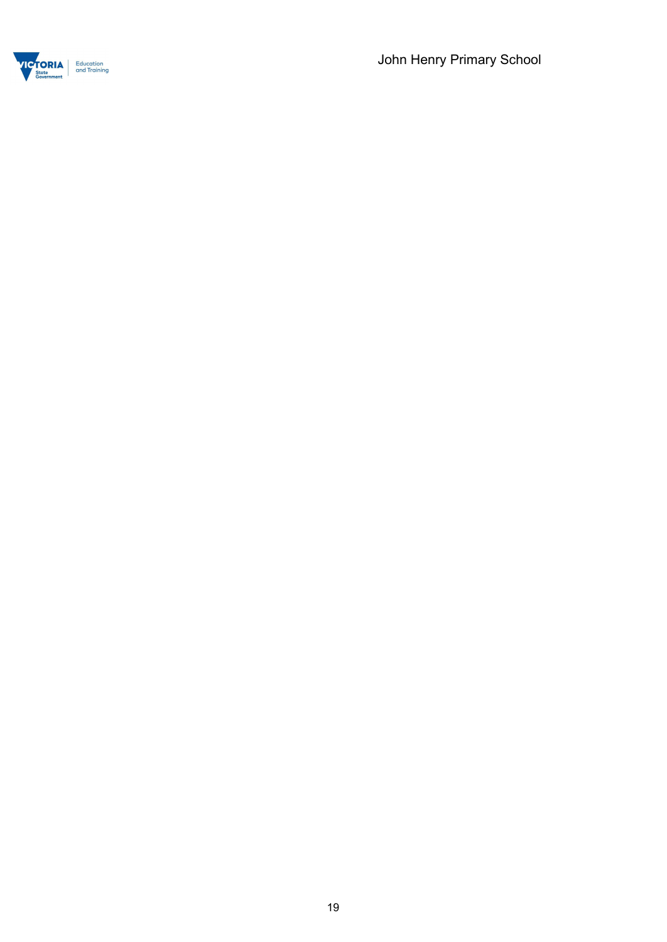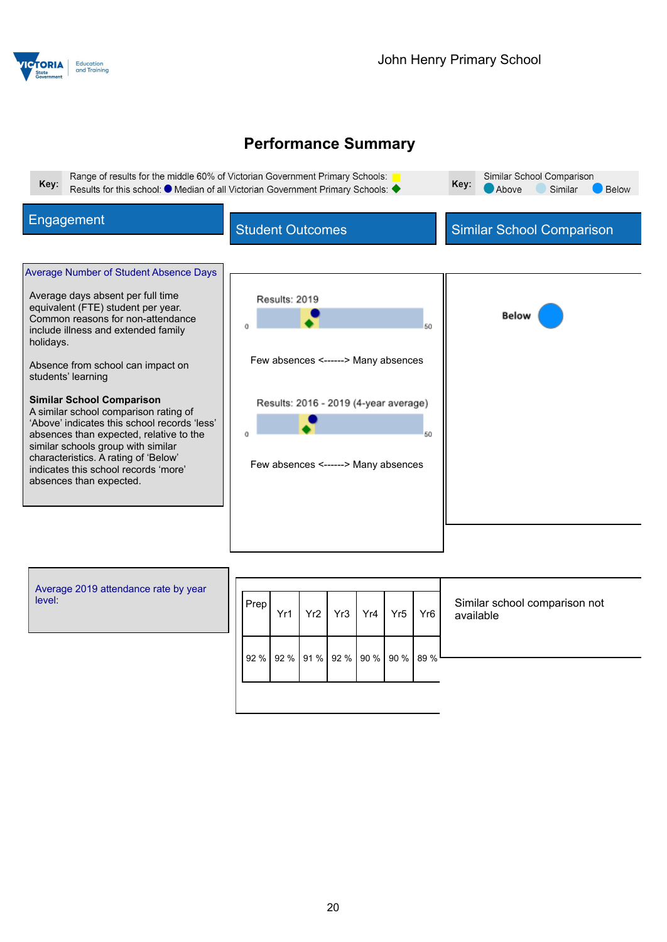



| Average 2019 attendance rate by year |      |      |                 |                                               |     |                 |                 |                                            |
|--------------------------------------|------|------|-----------------|-----------------------------------------------|-----|-----------------|-----------------|--------------------------------------------|
| level:                               | Prep | Yr1  | Yr <sub>2</sub> | Yr3                                           | Yr4 | Yr <sub>5</sub> | Yr <sub>6</sub> | Similar school comparison not<br>available |
|                                      | 92 % | 92 % |                 | 91 %   92 %   90 %   90 %   89 % <sup> </sup> |     |                 |                 |                                            |
|                                      |      |      |                 |                                               |     |                 |                 |                                            |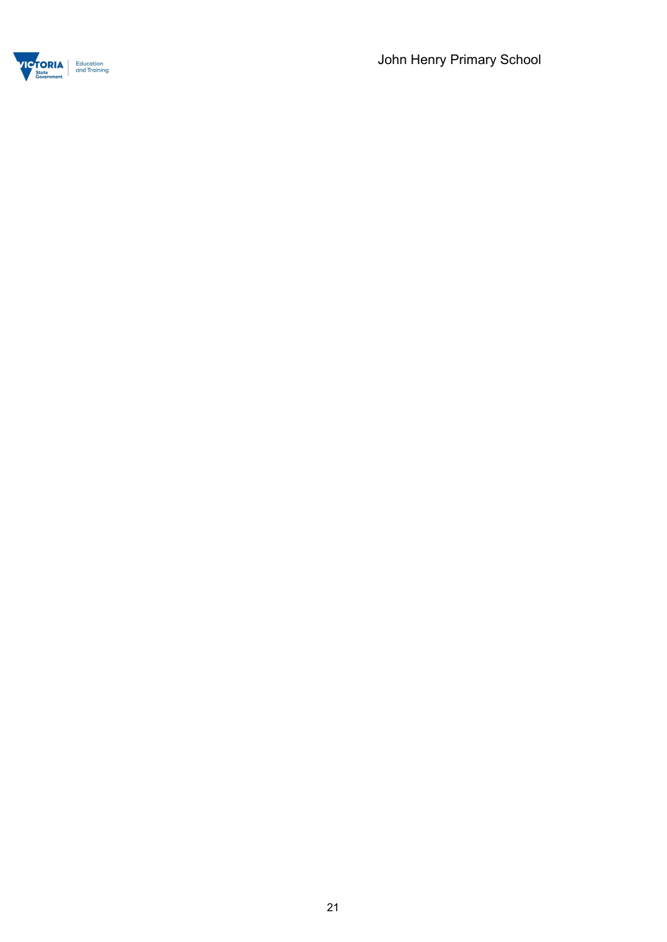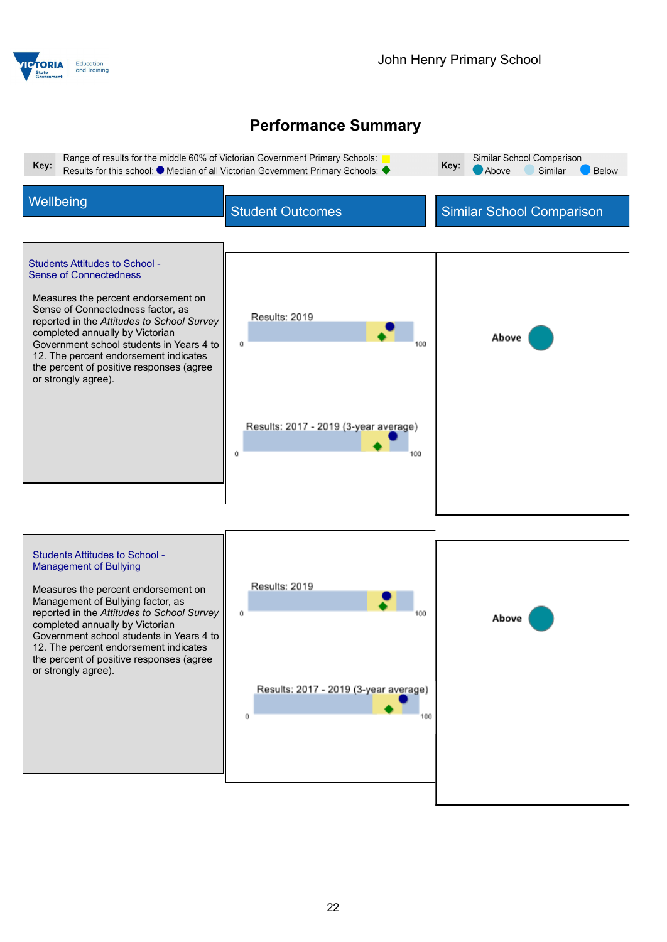

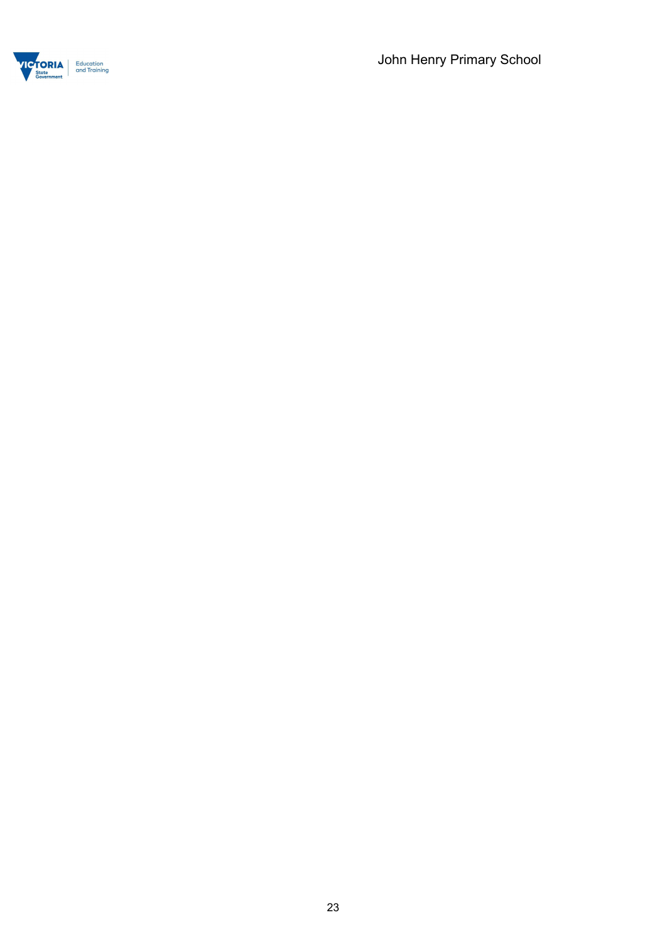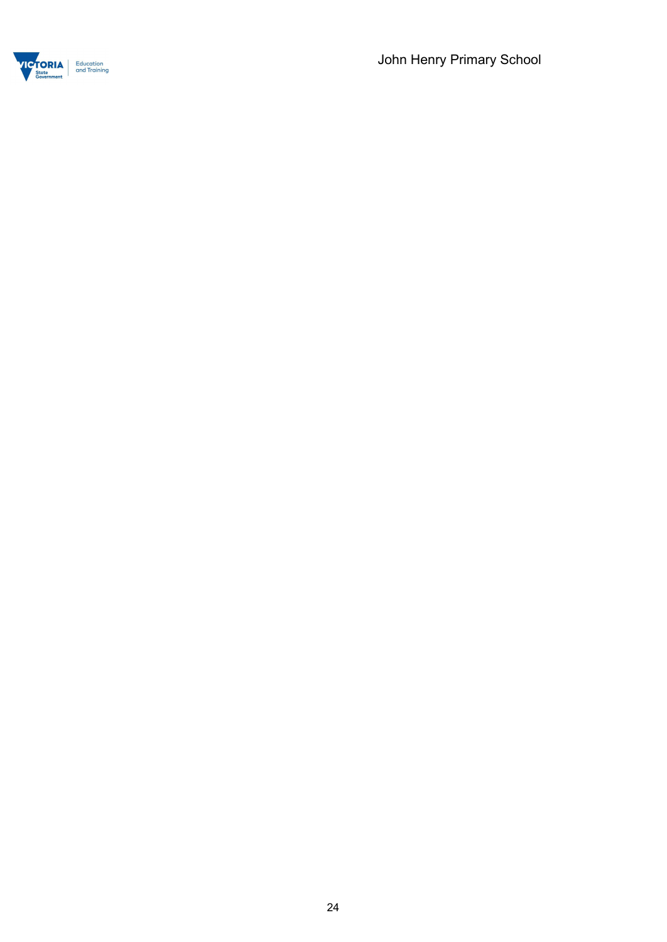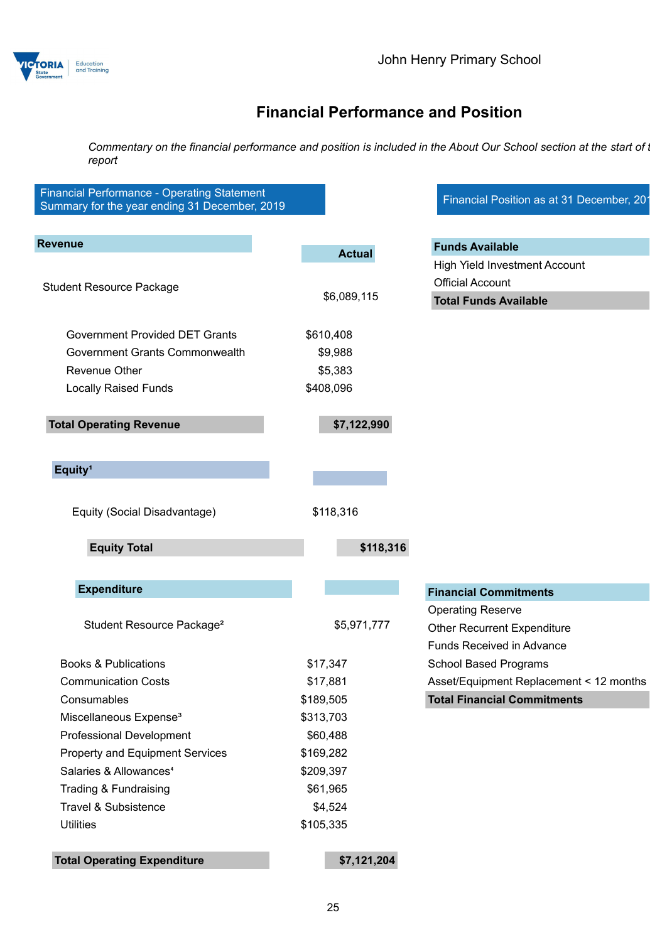

## **Financial Performance and Position**

Commentary on the financial performance and position is included in the About Our School section at the start of t *report*

| <b>Financial Performance - Operating Statement</b><br>Summary for the year ending 31 December, 2019 |               | Financial Position as at 31 December, 201 |
|-----------------------------------------------------------------------------------------------------|---------------|-------------------------------------------|
| <b>Revenue</b>                                                                                      |               | <b>Funds Available</b>                    |
|                                                                                                     | <b>Actual</b> |                                           |
|                                                                                                     |               | <b>High Yield Investment Account</b>      |
| <b>Student Resource Package</b>                                                                     | \$6,089,115   | <b>Official Account</b>                   |
|                                                                                                     |               | <b>Total Funds Available</b>              |
| <b>Government Provided DET Grants</b>                                                               | \$610,408     |                                           |
| Government Grants Commonwealth                                                                      | \$9,988       |                                           |
| Revenue Other                                                                                       | \$5,383       |                                           |
| <b>Locally Raised Funds</b>                                                                         | \$408,096     |                                           |
| <b>Total Operating Revenue</b>                                                                      | \$7,122,990   |                                           |
|                                                                                                     |               |                                           |
| Equity <sup>1</sup>                                                                                 |               |                                           |
|                                                                                                     |               |                                           |
| Equity (Social Disadvantage)                                                                        | \$118,316     |                                           |
| <b>Equity Total</b>                                                                                 | \$118,316     |                                           |
|                                                                                                     |               |                                           |
| <b>Expenditure</b>                                                                                  |               | <b>Financial Commitments</b>              |
|                                                                                                     |               | <b>Operating Reserve</b>                  |
| Student Resource Package <sup>2</sup>                                                               | \$5,971,777   | <b>Other Recurrent Expenditure</b>        |
|                                                                                                     |               | <b>Funds Received in Advance</b>          |
| <b>Books &amp; Publications</b>                                                                     | \$17,347      | <b>School Based Programs</b>              |
| <b>Communication Costs</b>                                                                          | \$17,881      | Asset/Equipment Replacement < 12 months   |
| Consumables                                                                                         | \$189,505     | <b>Total Financial Commitments</b>        |
| Miscellaneous Expense <sup>3</sup>                                                                  | \$313,703     |                                           |
| Professional Development                                                                            | \$60,488      |                                           |
| Property and Equipment Services                                                                     | \$169,282     |                                           |
| Salaries & Allowances <sup>4</sup>                                                                  | \$209,397     |                                           |
| Trading & Fundraising                                                                               | \$61,965      |                                           |
| Travel & Subsistence                                                                                | \$4,524       |                                           |
| <b>Utilities</b>                                                                                    | \$105,335     |                                           |
| <b>Total Operating Expenditure</b>                                                                  | \$7,121,204   |                                           |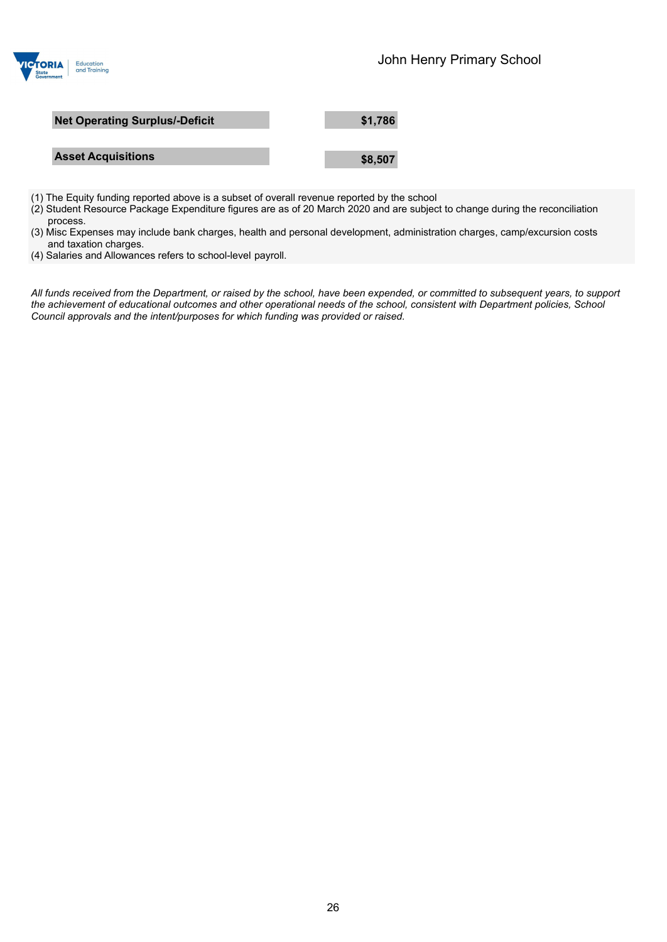



- (1) The Equity funding reported above is a subset of overall revenue reported by the school
- (2) Student Resource Package Expenditure figures are as of 20 March 2020 and are subject to change during the reconciliation process.
- (3) Misc Expenses may include bank charges, health and personal development, administration charges, camp/excursion costs and taxation charges.
- (4) Salaries and Allowances refers to school-level payroll.

*All funds received from the Department, or raised by the school, have been expended, or committed to subsequent years, to support the achievement of educational outcomes and other operational needs of the school, consistent with Department policies, School Council approvals and the intent/purposes for which funding was provided or raised.*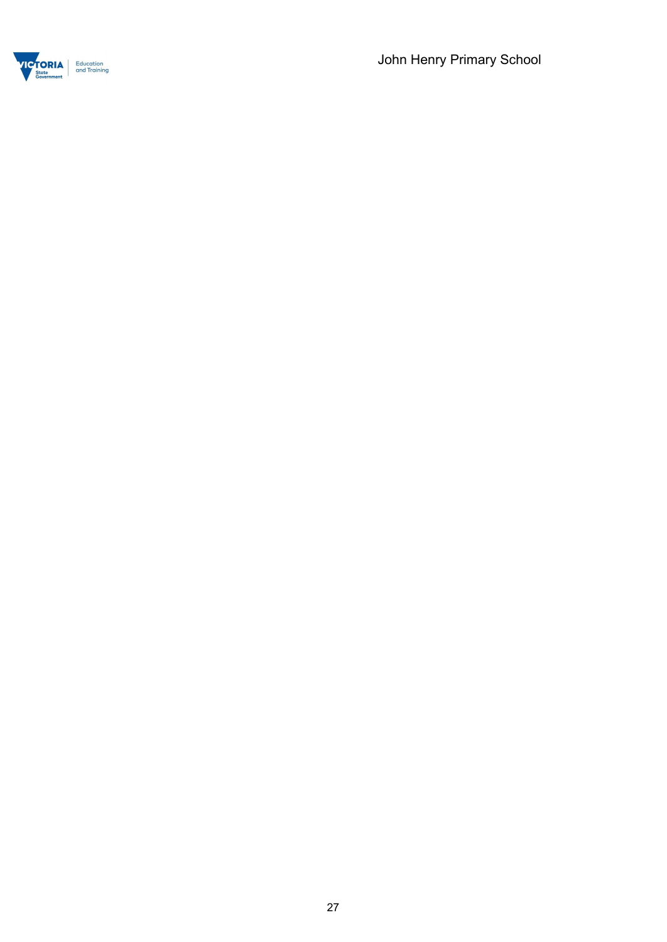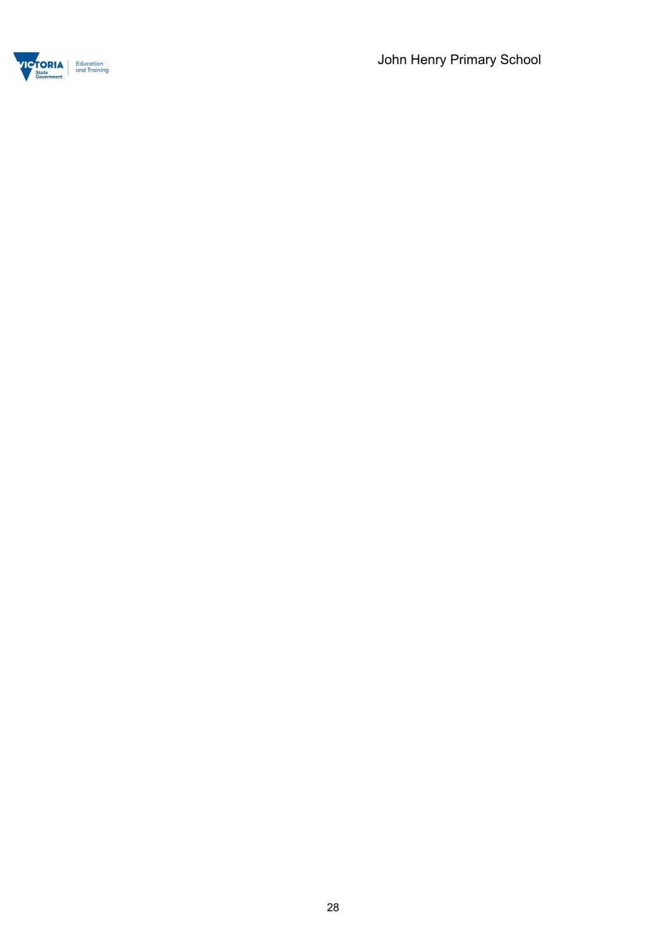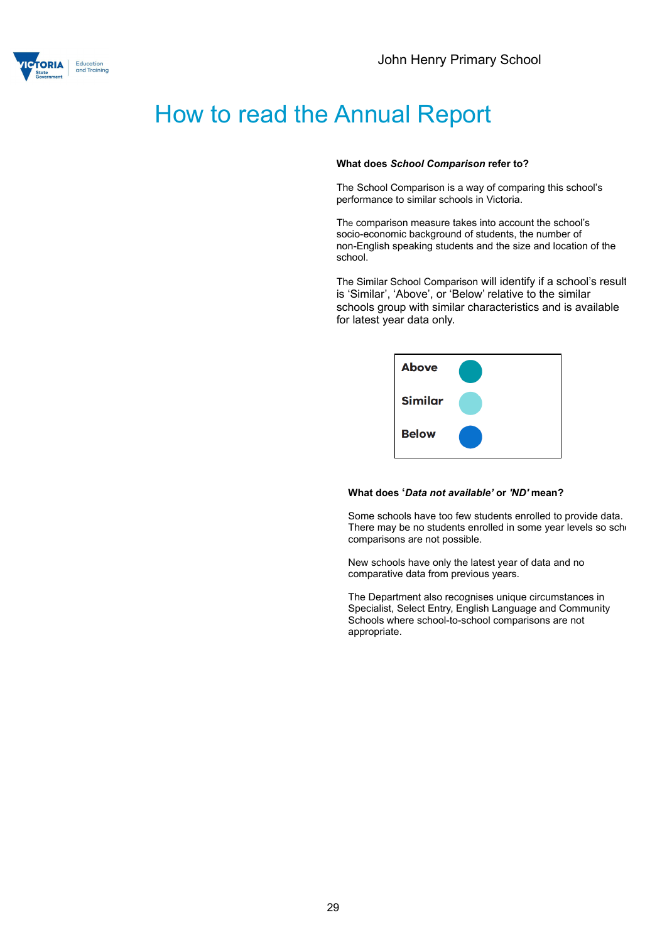

# How to read the Annual Report

## **What does** *School Comparison* **refer to?**

The School Comparison is a way of comparing this school's performance to similar schools in Victoria.

The comparison measure takes into account the school's socio-economic background of students, the number of non-English speaking students and the size and location of the school.

The Similar School Comparison will identify if a school's result is 'Similar', 'Above', or 'Below' relative to the similar schools group with similar characteristics and is available for latest year data only.



#### **What does '***Data not available'* **or** *'ND'* **mean?**

Some schools have too few students enrolled to provide data. There may be no students enrolled in some year levels so scho comparisons are not possible.

New schools have only the latest year of data and no comparative data from previous years.

The Department also recognises unique circumstances in Specialist, Select Entry, English Language and Community Schools where school-to-school comparisons are not appropriate.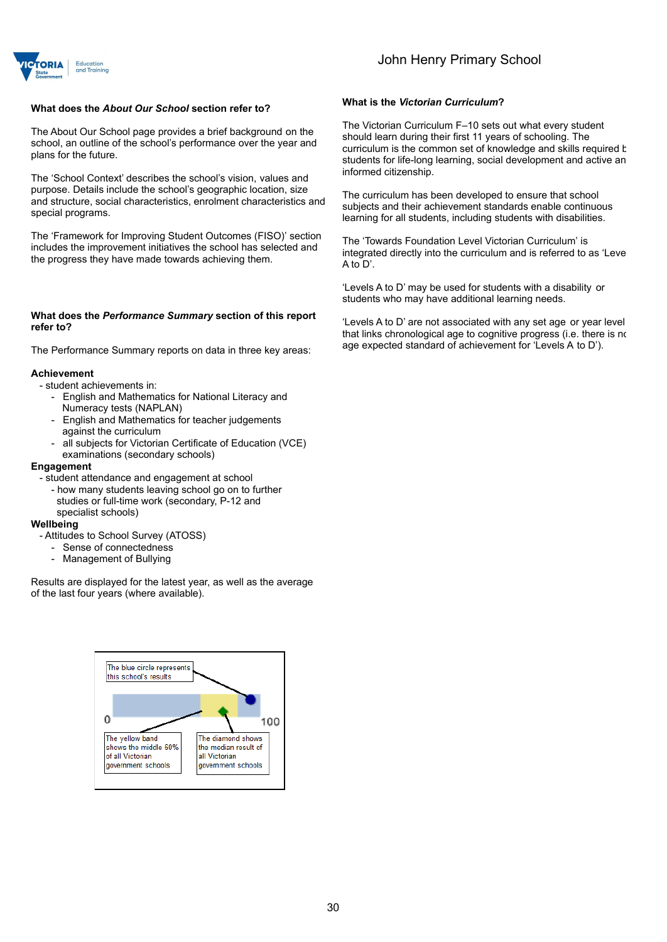

## **What does the** *About Our School* **section refer to?**

The About Our School page provides a brief background on the school, an outline of the school's performance over the year and plans for the future.

The 'School Context' describes the school's vision, values and purpose. Details include the school's geographic location, size and structure, social characteristics, enrolment characteristics and special programs.

The 'Framework for Improving Student Outcomes (FISO)' section includes the improvement initiatives the school has selected and the progress they have made towards achieving them.

#### **What does the** *Performance Summary* **section of this report refer to?**

The Performance Summary reports on data in three key areas:

#### **Achievement**

- student achievements in:

- English and Mathematics for National Literacy and Numeracy tests (NAPLAN)
- English and Mathematics for teacher judgements against the curriculum
- all subjects for Victorian Certificate of Education (VCE) examinations (secondary schools)

#### **Engagement**

- student attendance and engagement at school
	- how many students leaving school go on to further studies or full-time work (secondary, P-12 and specialist schools)

#### **Wellbeing**

- Attitudes to School Survey (ATOSS)
	- Sense of connectedness
	- Management of Bullying

Results are displayed for the latest year, as well as the average of the last four years (where available).



#### **What is the** *Victorian Curriculum***?**

The Victorian Curriculum F–10 sets out what every student should learn during their first 11 years of schooling. The curriculum is the common set of knowledge and skills required b students for life-long learning, social development and active an informed citizenship.

The curriculum has been developed to ensure that school subjects and their achievement standards enable continuous learning for all students, including students with disabilities.

The 'Towards Foundation Level Victorian Curriculum' is integrated directly into the curriculum and is referred to as 'Leve A to D'.

'Levels A to D' may be used for students with a disability or students who may have additional learning needs.

'Levels A to D' are not associated with any set age or year level that links chronological age to cognitive progress (i.e. there is no age expected standard of achievement for 'Levels A to D').